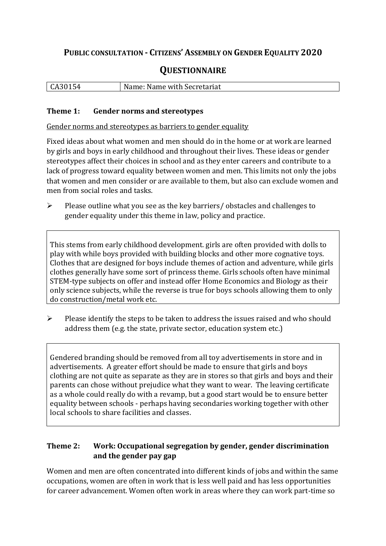## **PUBLIC CONSULTATION - CITIZENS' ASSEMBLY ON GENDER EQUALITY 2020**

# **QUESTIONNAIRE**

| CA30154 | Name: Name with Secretariat |
|---------|-----------------------------|
|         |                             |

#### **Theme 1: Gender norms and stereotypes**

Gender norms and stereotypes as barriers to gender equality

Fixed ideas about what women and men should do in the home or at work are learned by girls and boys in early childhood and throughout their lives. These ideas or gender stereotypes affect their choices in school and as they enter careers and contribute to a lack of progress toward equality between women and men. This limits not only the jobs that women and men consider or are available to them, but also can exclude women and men from social roles and tasks.

➢ Please outline what you see as the key barriers/ obstacles and challenges to gender equality under this theme in law, policy and practice.

This stems from early childhood development. girls are often provided with dolls to play with while boys provided with building blocks and other more cognative toys. Clothes that are designed for boys include themes of action and adventure, while girls clothes generally have some sort of princess theme. Girls schools often have minimal STEM-type subjects on offer and instead offer Home Economics and Biology as their only science subjects, while the reverse is true for boys schools allowing them to only do construction/metal work etc.

➢ Please identify the steps to be taken to address the issues raised and who should address them (e.g. the state, private sector, education system etc.)

Gendered branding should be removed from all toy advertisements in store and in advertisements. A greater effort should be made to ensure that girls and boys clothing are not quite as separate as they are in stores so that girls and boys and their parents can chose without prejudice what they want to wear. The leaving certificate as a whole could really do with a revamp, but a good start would be to ensure better equality between schools - perhaps having secondaries working together with other local schools to share facilities and classes.

#### **Theme 2: Work: Occupational segregation by gender, gender discrimination and the gender pay gap**

Women and men are often concentrated into different kinds of jobs and within the same occupations, women are often in work that is less well paid and has less opportunities for career advancement. Women often work in areas where they can work part-time so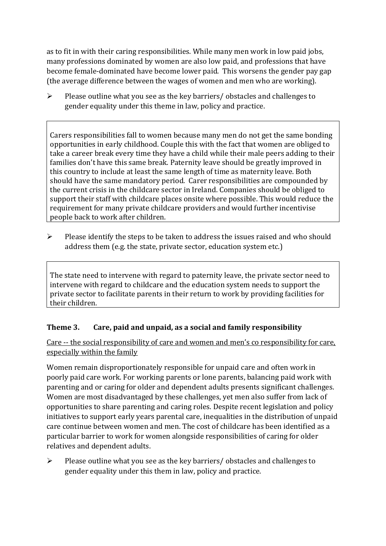as to fit in with their caring responsibilities. While many men work in low paid jobs, many professions dominated by women are also low paid, and professions that have become female-dominated have become lower paid. This worsens the gender pay gap (the average difference between the wages of women and men who are working).

 $\triangleright$  Please outline what you see as the key barriers/ obstacles and challenges to gender equality under this theme in law, policy and practice.

Carers responsibilities fall to women because many men do not get the same bonding opportunities in early childhood. Couple this with the fact that women are obliged to take a career break every time they have a child while their male peers adding to their families don't have this same break. Paternity leave should be greatly improved in this country to include at least the same length of time as maternity leave. Both should have the same mandatory period. Carer responsibilities are compounded by the current crisis in the childcare sector in Ireland. Companies should be obliged to support their staff with childcare places onsite where possible. This would reduce the requirement for many private childcare providers and would further incentivise people back to work after children.

➢ Please identify the steps to be taken to address the issues raised and who should address them (e.g. the state, private sector, education system etc.)

The state need to intervene with regard to paternity leave, the private sector need to intervene with regard to childcare and the education system needs to support the private sector to facilitate parents in their return to work by providing facilities for their children.

### **Theme 3. Care, paid and unpaid, as a social and family responsibility**

Care -- the social responsibility of care and women and men's co responsibility for care, especially within the family

Women remain disproportionately responsible for unpaid care and often work in poorly paid care work. For working parents or [lone parents,](https://aran.library.nuigalway.ie/bitstream/handle/10379/6044/Millar_and_Crosse_Activation_Report.pdf?sequence=1&isAllowed=y) balancing paid work with parenting and or caring for older and dependent adults presents significant challenges. Women are [most disadvantaged by these challenges,](https://eige.europa.eu/gender-equality-index/game/IE/W) yet men also suffer from lack of opportunities to share parenting and caring roles. Despite recent legislation and policy initiatives to support early years parental care, [inequalities in the distribution of unpaid](https://www.ihrec.ie/app/uploads/2019/07/Caring-and-Unpaid-Work-in-Ireland_Final.pdf)  [care](https://www.ihrec.ie/app/uploads/2019/07/Caring-and-Unpaid-Work-in-Ireland_Final.pdf) continue between women and men. The cost of childcare has been identified as a particular barrier to work for women alongside responsibilities of caring for older relatives and dependent adults.

➢ Please outline what you see as the key barriers/ obstacles and challenges to gender equality under this them in law, policy and practice.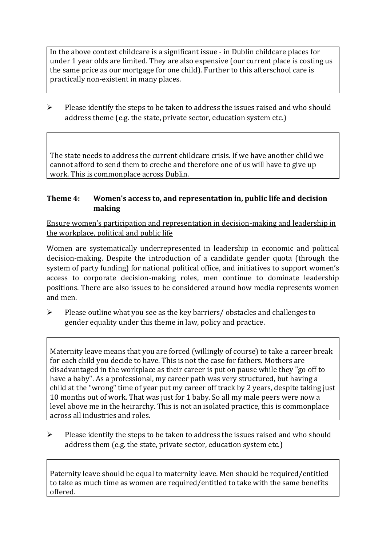In the above context childcare is a significant issue - in Dublin childcare places for under 1 year olds are limited. They are also expensive (our current place is costing us the same price as our mortgage for one child). Further to this afterschool care is practically non-existent in many places.

➢ Please identify the steps to be taken to address the issues raised and who should address theme (e.g. the state, private sector, education system etc.)

The state needs to address the current childcare crisis. If we have another child we cannot afford to send them to creche and therefore one of us will have to give up work. This is commonplace across Dublin.

#### **Theme 4: Women's access to, and representation in, public life and decision making**

Ensure women's participation and representation in decision-making and leadership in the workplace, political and public life

Women are systematically underrepresented in leadership in [economic](https://eige.europa.eu/gender-equality-index/2019/compare-countries/power/2/bar) and [political](https://eige.europa.eu/gender-equality-index/2019/compare-countries/power/1/bar)  [decision-](https://eige.europa.eu/gender-equality-index/2019/compare-countries/power/1/bar)making. Despite the introduction of a candidate gender quota (through the system of party funding) for national political office, and [initiatives](https://betterbalance.ie/) to support women's access to corporate decision-making roles, men continue to dominate leadership positions. There are also issues to be considered around how media represents women and men.

➢ Please outline what you see as the key barriers/ obstacles and challenges to gender equality under this theme in law, policy and practice.

Maternity leave means that you are forced (willingly of course) to take a career break for each child you decide to have. This is not the case for fathers. Mothers are disadvantaged in the workplace as their career is put on pause while they "go off to have a baby". As a professional, my career path was very structured, but having a child at the "wrong" time of year put my career off track by 2 years, despite taking just 10 months out of work. That was just for 1 baby. So all my male peers were now a level above me in the heirarchy. This is not an isolated practice, this is commonplace across all industries and roles.

➢ Please identify the steps to be taken to address the issues raised and who should address them (e.g. the state, private sector, education system etc.)

Paternity leave should be equal to maternity leave. Men should be required/entitled to take as much time as women are required/entitled to take with the same benefits offered.